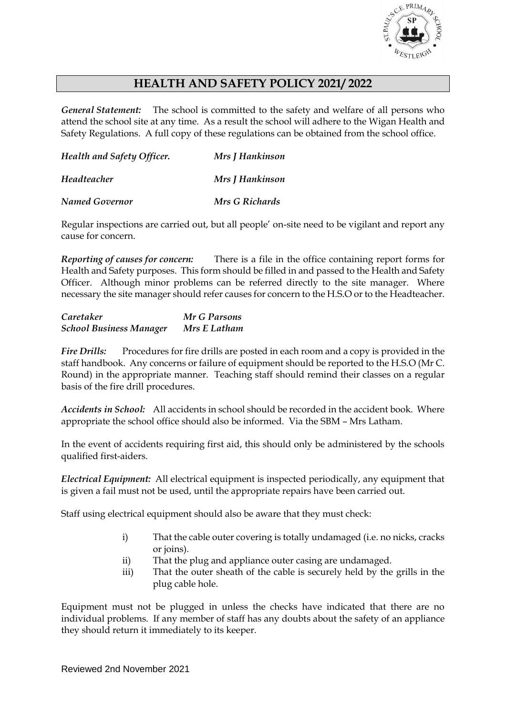

# **HEALTH AND SAFETY POLICY 2021/ 2022**

*General Statement:* The school is committed to the safety and welfare of all persons who attend the school site at any time. As a result the school will adhere to the Wigan Health and Safety Regulations. A full copy of these regulations can be obtained from the school office.

| Health and Safety Officer. | Mrs <i>J</i> Hankinson |
|----------------------------|------------------------|
| Headteacher                | <b>Mrs J Hankinson</b> |
| <b>Named Governor</b>      | Mrs G Richards         |

Regular inspections are carried out, but all people' on-site need to be vigilant and report any cause for concern.

*Reporting of causes for concern:* There is a file in the office containing report forms for Health and Safety purposes. This form should be filled in and passed to the Health and Safety Officer. Although minor problems can be referred directly to the site manager. Where necessary the site manager should refer causes for concern to the H.S.O or to the Headteacher.

| Caretaker                      | Mr G Parsons |
|--------------------------------|--------------|
| <b>School Business Manager</b> | Mrs E Latham |

*Fire Drills:* Procedures for fire drills are posted in each room and a copy is provided in the staff handbook. Any concerns or failure of equipment should be reported to the H.S.O (Mr C. Round) in the appropriate manner. Teaching staff should remind their classes on a regular basis of the fire drill procedures.

*Accidents in School:* All accidents in school should be recorded in the accident book. Where appropriate the school office should also be informed. Via the SBM – Mrs Latham.

In the event of accidents requiring first aid, this should only be administered by the schools qualified first-aiders.

*Electrical Equipment:* All electrical equipment is inspected periodically, any equipment that is given a fail must not be used, until the appropriate repairs have been carried out.

Staff using electrical equipment should also be aware that they must check:

- i) That the cable outer covering is totally undamaged (i.e. no nicks, cracks or joins).
- ii) That the plug and appliance outer casing are undamaged.
- iii) That the outer sheath of the cable is securely held by the grills in the plug cable hole.

Equipment must not be plugged in unless the checks have indicated that there are no individual problems. If any member of staff has any doubts about the safety of an appliance they should return it immediately to its keeper.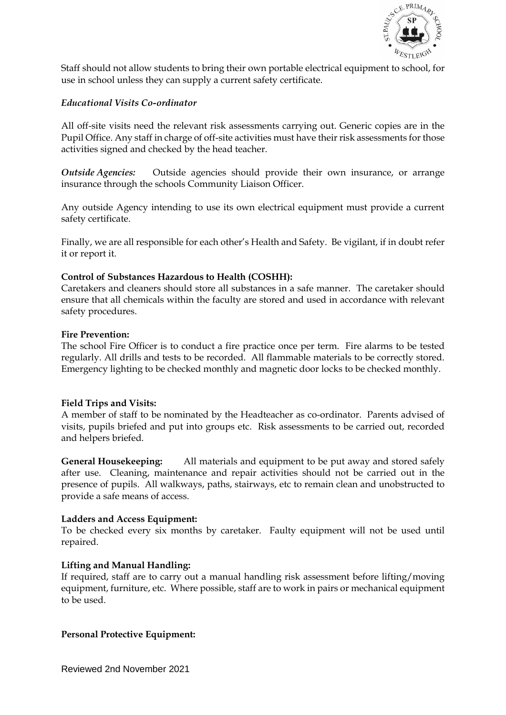

Staff should not allow students to bring their own portable electrical equipment to school, for use in school unless they can supply a current safety certificate.

## *Educational Visits Co-ordinator*

All off-site visits need the relevant risk assessments carrying out. Generic copies are in the Pupil Office. Any staff in charge of off-site activities must have their risk assessments for those activities signed and checked by the head teacher.

*Outside Agencies:* Outside agencies should provide their own insurance, or arrange insurance through the schools Community Liaison Officer.

Any outside Agency intending to use its own electrical equipment must provide a current safety certificate.

Finally, we are all responsible for each other's Health and Safety. Be vigilant, if in doubt refer it or report it.

# **Control of Substances Hazardous to Health (COSHH):**

Caretakers and cleaners should store all substances in a safe manner. The caretaker should ensure that all chemicals within the faculty are stored and used in accordance with relevant safety procedures.

## **Fire Prevention:**

The school Fire Officer is to conduct a fire practice once per term. Fire alarms to be tested regularly. All drills and tests to be recorded. All flammable materials to be correctly stored. Emergency lighting to be checked monthly and magnetic door locks to be checked monthly.

## **Field Trips and Visits:**

A member of staff to be nominated by the Headteacher as co-ordinator. Parents advised of visits, pupils briefed and put into groups etc. Risk assessments to be carried out, recorded and helpers briefed.

**General Housekeeping:** All materials and equipment to be put away and stored safely after use. Cleaning, maintenance and repair activities should not be carried out in the presence of pupils. All walkways, paths, stairways, etc to remain clean and unobstructed to provide a safe means of access.

## **Ladders and Access Equipment:**

To be checked every six months by caretaker. Faulty equipment will not be used until repaired.

## **Lifting and Manual Handling:**

If required, staff are to carry out a manual handling risk assessment before lifting/moving equipment, furniture, etc. Where possible, staff are to work in pairs or mechanical equipment to be used.

## **Personal Protective Equipment:**

Reviewed 2nd November 2021